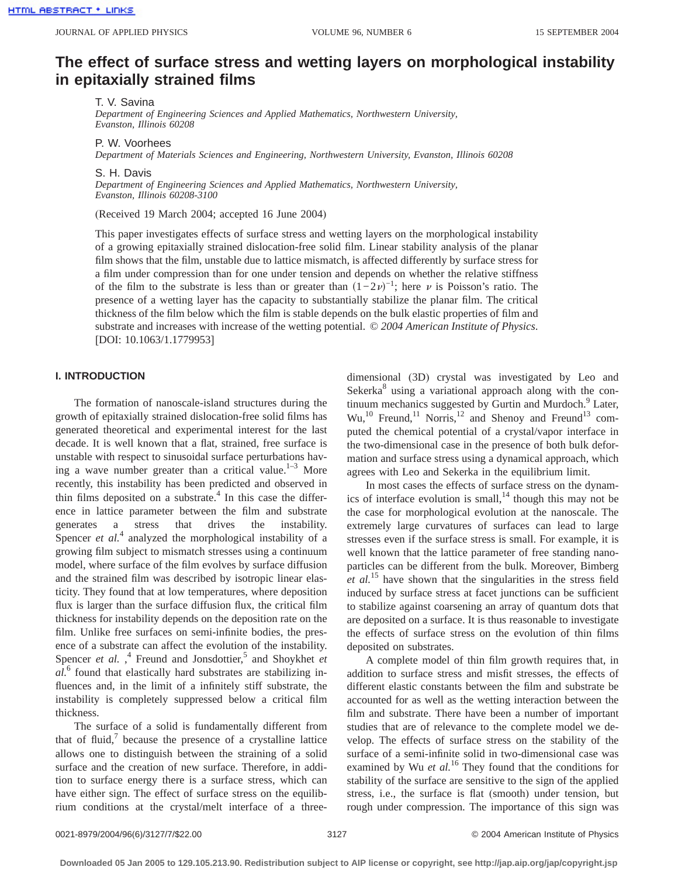# **The effect of surface stress and wetting layers on morphological instability in epitaxially strained films**

T. V. Savina

*Department of Engineering Sciences and Applied Mathematics, Northwestern University, Evanston, Illinois 60208*

P. W. Voorhees

*Department of Materials Sciences and Engineering, Northwestern University, Evanston, Illinois 60208*

S. H. Davis

*Department of Engineering Sciences and Applied Mathematics, Northwestern University, Evanston, Illinois 60208-3100*

(Received 19 March 2004; accepted 16 June 2004)

This paper investigates effects of surface stress and wetting layers on the morphological instability of a growing epitaxially strained dislocation-free solid film. Linear stability analysis of the planar film shows that the film, unstable due to lattice mismatch, is affected differently by surface stress for a film under compression than for one under tension and depends on whether the relative stiffness of the film to the substrate is less than or greater than  $(1-2\nu)^{-1}$ ; here  $\nu$  is Poisson's ratio. The presence of a wetting layer has the capacity to substantially stabilize the planar film. The critical thickness of the film below which the film is stable depends on the bulk elastic properties of film and substrate and increases with increase of the wetting potential. © *2004 American Institute of Physics*. [DOI: 10.1063/1.1779953]

## **I. INTRODUCTION**

The formation of nanoscale-island structures during the growth of epitaxially strained dislocation-free solid films has generated theoretical and experimental interest for the last decade. It is well known that a flat, strained, free surface is unstable with respect to sinusoidal surface perturbations having a wave number greater than a critical value.<sup>1–3</sup> More recently, this instability has been predicted and observed in thin films deposited on a substrate. $4$  In this case the difference in lattice parameter between the film and substrate generates a stress that drives the instability. Spencer *et al.*<sup>4</sup> analyzed the morphological instability of a growing film subject to mismatch stresses using a continuum model, where surface of the film evolves by surface diffusion and the strained film was described by isotropic linear elasticity. They found that at low temperatures, where deposition flux is larger than the surface diffusion flux, the critical film thickness for instability depends on the deposition rate on the film. Unlike free surfaces on semi-infinite bodies, the presence of a substrate can affect the evolution of the instability. Spencer *et al.*, <sup>4</sup> Freund and Jonsdottier,<sup>5</sup> and Shoykhet *et al.*<sup>6</sup> found that elastically hard substrates are stabilizing influences and, in the limit of a infinitely stiff substrate, the instability is completely suppressed below a critical film thickness.

The surface of a solid is fundamentally different from that of fluid, $\frac{7}{1}$  because the presence of a crystalline lattice allows one to distinguish between the straining of a solid surface and the creation of new surface. Therefore, in addition to surface energy there is a surface stress, which can have either sign. The effect of surface stress on the equilibrium conditions at the crystal/melt interface of a threedimensional (3D) crystal was investigated by Leo and Sekerka $8$  using a variational approach along with the continuum mechanics suggested by Gurtin and Murdoch.<sup>9</sup> Later,  $Wu$ ,<sup>10</sup> Freund,<sup>11</sup> Norris,<sup>12</sup> and Shenoy and Freund<sup>13</sup> computed the chemical potential of a crystal/vapor interface in the two-dimensional case in the presence of both bulk deformation and surface stress using a dynamical approach, which agrees with Leo and Sekerka in the equilibrium limit.

In most cases the effects of surface stress on the dynamics of interface evolution is small, $^{14}$  though this may not be the case for morphological evolution at the nanoscale. The extremely large curvatures of surfaces can lead to large stresses even if the surface stress is small. For example, it is well known that the lattice parameter of free standing nanoparticles can be different from the bulk. Moreover, Bimberg *et al.*<sup>15</sup> have shown that the singularities in the stress field induced by surface stress at facet junctions can be sufficient to stabilize against coarsening an array of quantum dots that are deposited on a surface. It is thus reasonable to investigate the effects of surface stress on the evolution of thin films deposited on substrates.

A complete model of thin film growth requires that, in addition to surface stress and misfit stresses, the effects of different elastic constants between the film and substrate be accounted for as well as the wetting interaction between the film and substrate. There have been a number of important studies that are of relevance to the complete model we develop. The effects of surface stress on the stability of the surface of a semi-infinite solid in two-dimensional case was examined by Wu et al.<sup>16</sup> They found that the conditions for stability of the surface are sensitive to the sign of the applied stress, i.e., the surface is flat (smooth) under tension, but rough under compression. The importance of this sign was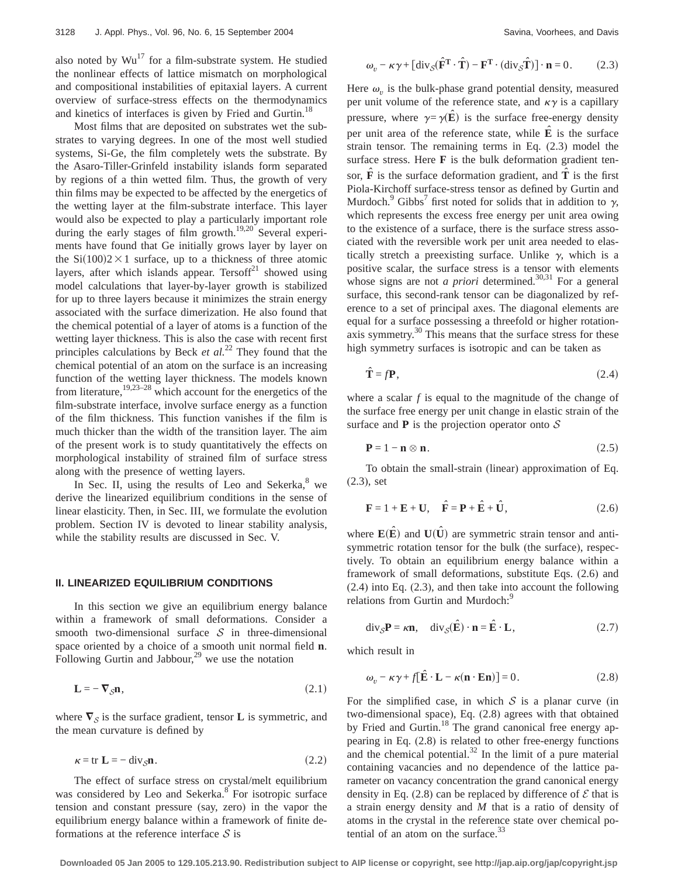also noted by  $Wu^{17}$  for a film-substrate system. He studied the nonlinear effects of lattice mismatch on morphological and compositional instabilities of epitaxial layers. A current overview of surface-stress effects on the thermodynamics and kinetics of interfaces is given by Fried and Gurtin.<sup>18</sup>

Most films that are deposited on substrates wet the substrates to varying degrees. In one of the most well studied systems, Si-Ge, the film completely wets the substrate. By the Asaro-Tiller-Grinfeld instability islands form separated by regions of a thin wetted film. Thus, the growth of very thin films may be expected to be affected by the energetics of the wetting layer at the film-substrate interface. This layer would also be expected to play a particularly important role during the early stages of film growth.<sup>19,20</sup> Several experiments have found that Ge initially grows layer by layer on the  $Si(100)2\times1$  surface, up to a thickness of three atomic layers, after which islands appear. Tersoff $21$  showed using model calculations that layer-by-layer growth is stabilized for up to three layers because it minimizes the strain energy associated with the surface dimerization. He also found that the chemical potential of a layer of atoms is a function of the wetting layer thickness. This is also the case with recent first principles calculations by Beck *et al.*<sup>22</sup> They found that the chemical potential of an atom on the surface is an increasing function of the wetting layer thickness. The models known from literature,  $19,23-28$  which account for the energetics of the film-substrate interface, involve surface energy as a function of the film thickness. This function vanishes if the film is much thicker than the width of the transition layer. The aim of the present work is to study quantitatively the effects on morphological instability of strained film of surface stress along with the presence of wetting layers.

In Sec. II, using the results of Leo and Sekerka, $8$  we derive the linearized equilibrium conditions in the sense of linear elasticity. Then, in Sec. III, we formulate the evolution problem. Section IV is devoted to linear stability analysis, while the stability results are discussed in Sec. V.

# **II. LINEARIZED EQUILIBRIUM CONDITIONS**

In this section we give an equilibrium energy balance within a framework of small deformations. Consider a smooth two-dimensional surface  $S$  in three-dimensional space oriented by a choice of a smooth unit normal field **n**. Following Gurtin and Jabbour, $^{29}$  we use the notation

$$
\mathbf{L} = -\nabla_{\mathcal{S}} \mathbf{n},\tag{2.1}
$$

where  $\nabla_S$  is the surface gradient, tensor **L** is symmetric, and the mean curvature is defined by

$$
\kappa = \text{tr } \mathbf{L} = -\operatorname{div}_{\mathcal{S}} \mathbf{n}.
$$
 (2.2)

The effect of surface stress on crystal/melt equilibrium was considered by Leo and Sekerka.<sup>8</sup> For isotropic surface tension and constant pressure (say, zero) in the vapor the equilibrium energy balance within a framework of finite deformations at the reference interface  $S$  is

$$
\omega_{v} - \kappa \gamma + [\text{div}_{\mathcal{S}}(\hat{\mathbf{F}}^{\mathrm{T}} \cdot \hat{\mathbf{T}}) - \mathbf{F}^{\mathrm{T}} \cdot (\text{div}_{\mathcal{S}} \hat{\mathbf{T}})] \cdot \mathbf{n} = 0. \quad (2.3)
$$

Here  $\omega$ <sub>v</sub> is the bulk-phase grand potential density, measured per unit volume of the reference state, and  $\kappa \gamma$  is a capillary pressure, where  $\gamma = \gamma(\vec{E})$  is the surface free-energy density per unit area of the reference state, while  $\hat{E}$  is the surface strain tensor. The remaining terms in Eq. (2.3) model the surface stress. Here **F** is the bulk deformation gradient tensor,  $\hat{\mathbf{F}}$  is the surface deformation gradient, and  $\hat{\mathbf{T}}$  is the first Piola-Kirchoff surface-stress tensor as defined by Gurtin and Murdoch.<sup>9</sup> Gibbs<sup>7</sup> first noted for solids that in addition to  $\gamma$ , which represents the excess free energy per unit area owing to the existence of a surface, there is the surface stress associated with the reversible work per unit area needed to elastically stretch a preexisting surface. Unlike  $\gamma$ , which is a positive scalar, the surface stress is a tensor with elements whose signs are not *a priori* determined.<sup>30,31</sup> For a general surface, this second-rank tensor can be diagonalized by reference to a set of principal axes. The diagonal elements are equal for a surface possessing a threefold or higher rotationaxis symmetry. $30$  This means that the surface stress for these high symmetry surfaces is isotropic and can be taken as

$$
\hat{\mathbf{T}} = f\mathbf{P},\tag{2.4}
$$

where a scalar *f* is equal to the magnitude of the change of the surface free energy per unit change in elastic strain of the surface and  $P$  is the projection operator onto  $S$ 

$$
\mathbf{P} = 1 - \mathbf{n} \otimes \mathbf{n}.\tag{2.5}
$$

To obtain the small-strain (linear) approximation of Eq. (2.3), set

$$
\mathbf{F} = 1 + \mathbf{E} + \mathbf{U}, \quad \hat{\mathbf{F}} = \mathbf{P} + \hat{\mathbf{E}} + \hat{\mathbf{U}}, \tag{2.6}
$$

where  $\mathbf{E}(\hat{\mathbf{E}})$  and  $\mathbf{U}(\hat{\mathbf{U}})$  are symmetric strain tensor and antisymmetric rotation tensor for the bulk (the surface), respectively. To obtain an equilibrium energy balance within a framework of small deformations, substitute Eqs. (2.6) and (2.4) into Eq. (2.3), and then take into account the following relations from Gurtin and Murdoch:<sup>9</sup>

$$
\operatorname{div}_{\mathcal{S}} \mathbf{P} = \kappa \mathbf{n}, \quad \operatorname{div}_{\mathcal{S}}(\hat{\mathbf{E}}) \cdot \mathbf{n} = \hat{\mathbf{E}} \cdot \mathbf{L}, \tag{2.7}
$$

which result in

$$
\omega_v - \kappa \gamma + f[\hat{\mathbf{E}} \cdot \mathbf{L} - \kappa (\mathbf{n} \cdot \mathbf{En})] = 0. \tag{2.8}
$$

For the simplified case, in which  $S$  is a planar curve (in two-dimensional space), Eq. (2.8) agrees with that obtained by Fried and Gurtin.<sup>18</sup> The grand canonical free energy appearing in Eq. (2.8) is related to other free-energy functions and the chemical potential. $32$  In the limit of a pure material containing vacancies and no dependence of the lattice parameter on vacancy concentration the grand canonical energy density in Eq. (2.8) can be replaced by difference of  $\mathcal E$  that is a strain energy density and *M* that is a ratio of density of atoms in the crystal in the reference state over chemical potential of an atom on the surface. $33$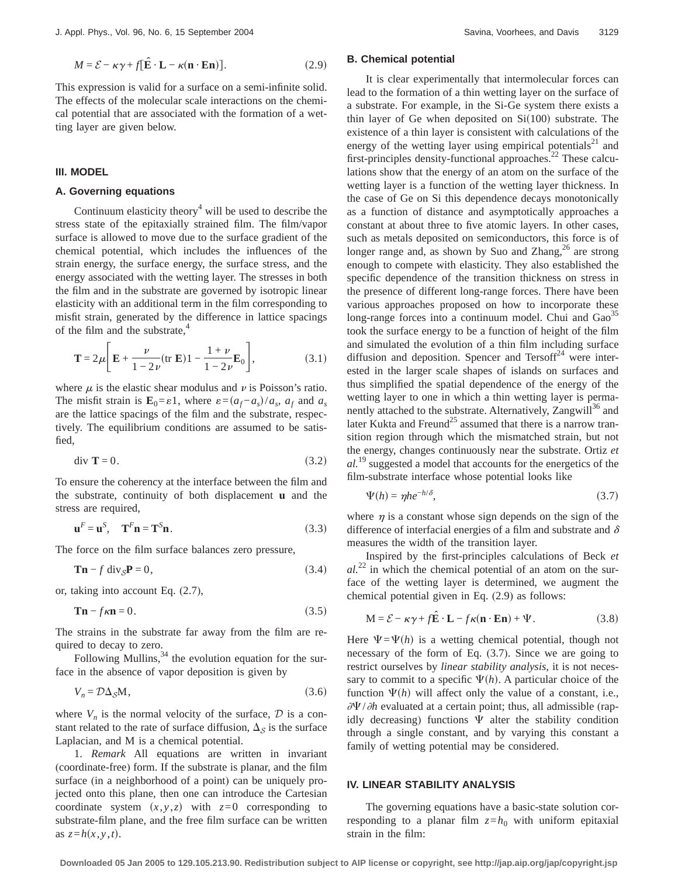This expression is valid for a surface on a semi-infinite solid. The effects of the molecular scale interactions on the chemical potential that are associated with the formation of a wetting layer are given below.

## **III. MODEL**

## **A. Governing equations**

Continuum elasticity theory $4$  will be used to describe the stress state of the epitaxially strained film. The film/vapor surface is allowed to move due to the surface gradient of the chemical potential, which includes the influences of the strain energy, the surface energy, the surface stress, and the energy associated with the wetting layer. The stresses in both the film and in the substrate are governed by isotropic linear elasticity with an additional term in the film corresponding to misfit strain, generated by the difference in lattice spacings of the film and the substrate, $4$ 

$$
\mathbf{T} = 2\mu \left[ \mathbf{E} + \frac{\nu}{1 - 2\nu} (\text{tr } \mathbf{E}) \mathbf{1} - \frac{1 + \nu}{1 - 2\nu} \mathbf{E}_0 \right],\tag{3.1}
$$

where  $\mu$  is the elastic shear modulus and  $\nu$  is Poisson's ratio. The misfit strain is  $\mathbf{E}_0 = \varepsilon \mathbf{1}$ , where  $\varepsilon = (a_f - a_s)/a_s$ ,  $a_f$  and  $a_s$ are the lattice spacings of the film and the substrate, respectively. The equilibrium conditions are assumed to be satisfied,

$$
\text{div } \mathbf{T} = 0. \tag{3.2}
$$

To ensure the coherency at the interface between the film and the substrate, continuity of both displacement **u** and the stress are required,

$$
\mathbf{u}^F = \mathbf{u}^S, \quad \mathbf{T}^F \mathbf{n} = \mathbf{T}^S \mathbf{n}.
$$
 (3.3)

The force on the film surface balances zero pressure,

$$
\mathbf{Tn} - f \operatorname{div}_{\mathcal{S}} \mathbf{P} = 0,\tag{3.4}
$$

or, taking into account Eq. (2.7),

$$
\mathbf{Tn} - f\kappa \mathbf{n} = 0. \tag{3.5}
$$

The strains in the substrate far away from the film are required to decay to zero.

Following Mullins,  $34$  the evolution equation for the surface in the absence of vapor deposition is given by

$$
V_n = \mathcal{D}\Delta_S M,\tag{3.6}
$$

where  $V_n$  is the normal velocity of the surface,  $D$  is a constant related to the rate of surface diffusion,  $\Delta_{\mathcal{S}}$  is the surface Laplacian, and M is a chemical potential.

1. *Remark* All equations are written in invariant (coordinate-free) form. If the substrate is planar, and the film surface (in a neighborhood of a point) can be uniquely projected onto this plane, then one can introduce the Cartesian coordinate system  $(x, y, z)$  with  $z=0$  corresponding to substrate-film plane, and the free film surface can be written as  $z=h(x, y, t)$ .

## **B. Chemical potential**

It is clear experimentally that intermolecular forces can lead to the formation of a thin wetting layer on the surface of a substrate. For example, in the Si-Ge system there exists a thin layer of Ge when deposited on  $Si(100)$  substrate. The existence of a thin layer is consistent with calculations of the energy of the wetting layer using empirical potentials $^{21}$  and first-principles density-functional approaches.<sup>22</sup> These calculations show that the energy of an atom on the surface of the wetting layer is a function of the wetting layer thickness. In the case of Ge on Si this dependence decays monotonically as a function of distance and asymptotically approaches a constant at about three to five atomic layers. In other cases, such as metals deposited on semiconductors, this force is of longer range and, as shown by Suo and Zhang, $^{26}$  are strong enough to compete with elasticity. They also established the specific dependence of the transition thickness on stress in the presence of different long-range forces. There have been various approaches proposed on how to incorporate these long-range forces into a continuum model. Chui and Gao<sup>35</sup> took the surface energy to be a function of height of the film and simulated the evolution of a thin film including surface diffusion and deposition. Spencer and  $Tersoff<sup>24</sup>$  were interested in the larger scale shapes of islands on surfaces and thus simplified the spatial dependence of the energy of the wetting layer to one in which a thin wetting layer is permanently attached to the substrate. Alternatively, Zangwill<sup>36</sup> and later Kukta and Freund<sup>25</sup> assumed that there is a narrow transition region through which the mismatched strain, but not the energy, changes continuously near the substrate. Ortiz *et al.*<sup>19</sup> suggested a model that accounts for the energetics of the film-substrate interface whose potential looks like

$$
\Psi(h) = \eta h e^{-h/\delta},\tag{3.7}
$$

where  $\eta$  is a constant whose sign depends on the sign of the difference of interfacial energies of a film and substrate and  $\delta$ measures the width of the transition layer.

Inspired by the first-principles calculations of Beck *et*  $al^{22}$  in which the chemical potential of an atom on the surface of the wetting layer is determined, we augment the chemical potential given in Eq. (2.9) as follows:

$$
\mathbf{M} = \mathcal{E} - \kappa \gamma + f \hat{\mathbf{E}} \cdot \mathbf{L} - f \kappa (\mathbf{n} \cdot \mathbf{E} \mathbf{n}) + \Psi.
$$
 (3.8)

Here  $\Psi = \Psi(h)$  is a wetting chemical potential, though not necessary of the form of Eq. (3.7). Since we are going to restrict ourselves by *linear stability analysis*, it is not necessary to commit to a specific  $\Psi(h)$ . A particular choice of the function  $\Psi(h)$  will affect only the value of a constant, i.e.,  $\partial \Psi / \partial h$  evaluated at a certain point; thus, all admissible (rapidly decreasing) functions  $\Psi$  alter the stability condition through a single constant, and by varying this constant a family of wetting potential may be considered.

## **IV. LINEAR STABILITY ANALYSIS**

The governing equations have a basic-state solution corresponding to a planar film  $z=h_0$  with uniform epitaxial strain in the film: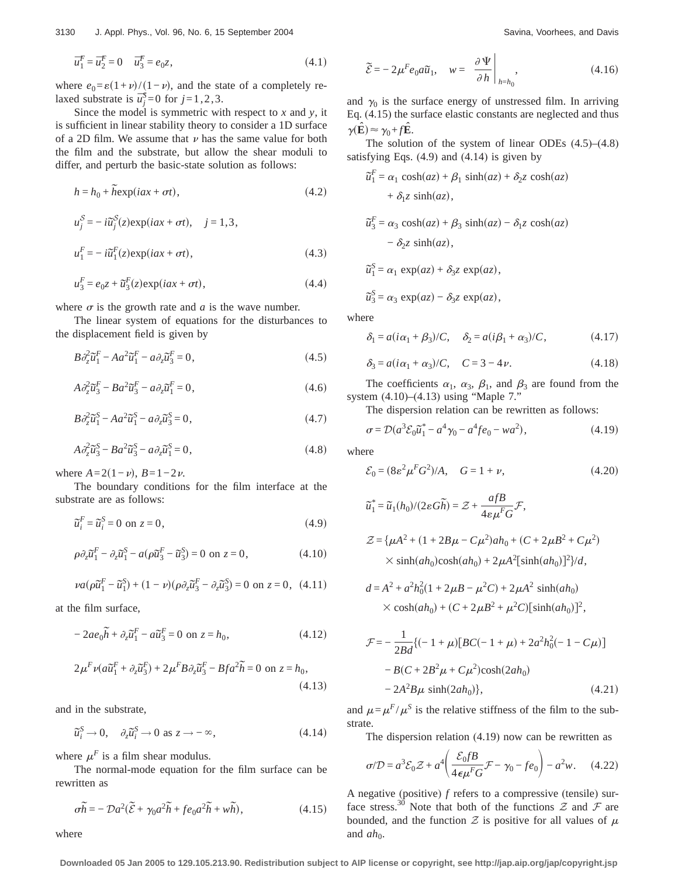$$
\overline{u}_1^F = \overline{u}_2^F = 0 \quad \overline{u}_3^F = e_0 z,\tag{4.1}
$$

where  $e_0 = \varepsilon(1+\nu)/(1-\nu)$ , and the state of a completely relaxed substrate is  $\overline{u}_j^S = 0$  for  $j = 1, 2, 3$ .

Since the model is symmetric with respect to *x* and *y*, it is sufficient in linear stability theory to consider a 1D surface of a 2D film. We assume that  $\nu$  has the same value for both the film and the substrate, but allow the shear moduli to differ, and perturb the basic-state solution as follows:

$$
h = h_0 + \widetilde{h} \exp(iax + \sigma t), \tag{4.2}
$$

$$
u_j^S = -i\tilde{u}_j^S(z) \exp(iax + \sigma t), \quad j = 1, 3,
$$
  

$$
u_1^F = -i\tilde{u}_1^F(z) \exp(iax + \sigma t), \qquad (4.3)
$$

$$
u_3^F = e_0 z + \tilde{u}_3^F(z) \exp(iax + \sigma t), \qquad (4.4)
$$

where  $\sigma$  is the growth rate and *a* is the wave number.

The linear system of equations for the disturbances to the displacement field is given by

$$
B\partial_z^2 \tilde{u}_1^F - A a^2 \tilde{u}_1^F - a \partial_z \tilde{u}_3^F = 0,
$$
\n
$$
(4.5)
$$

$$
A\partial_z^2 \tilde{u}_3^F - Ba^2 \tilde{u}_3^F - a\partial_z \tilde{u}_1^F = 0, \qquad (4.6)
$$

$$
B\partial_z^2 \tilde{u}_1^S - A a^2 \tilde{u}_1^S - a \partial_z \tilde{u}_3^S = 0,\tag{4.7}
$$

$$
A\partial_z^2 \tilde{u}_3^S - B\partial_z^2 \tilde{u}_3^S - a\partial_z \tilde{u}_1^S = 0,
$$
\n
$$
(4.8)
$$

where  $A=2(1-\nu)$ ,  $B=1-2\nu$ .

The boundary conditions for the film interface at the substrate are as follows:

$$
\tilde{u}_i^F = \tilde{u}_i^S = 0 \text{ on } z = 0,
$$
\n(4.9)

$$
\rho \partial_z \tilde{u}_1^F - \partial_z \tilde{u}_1^S - a(\rho \tilde{u}_3^F - \tilde{u}_3^S) = 0 \text{ on } z = 0,
$$
 (4.10)

$$
\nu a(\rho \tilde{u}_1^F - \tilde{u}_1^S) + (1 - \nu)(\rho \partial_z \tilde{u}_3^F - \partial_z \tilde{u}_3^S) = 0 \text{ on } z = 0, \ (4.11)
$$

at the film surface,

$$
-2ae_0\widetilde{h} + \partial_z\widetilde{u}_1^F - a\widetilde{u}_3^F = 0 \text{ on } z = h_0,
$$
\n(4.12)

$$
2\mu^F \nu (a\tilde{u}_1^F + \partial_z \tilde{u}_3^F) + 2\mu^F B \partial_z \tilde{u}_3^F - Bfa^2 \tilde{h} = 0 \text{ on } z = h_0,
$$
\n(4.13)

and in the substrate,

$$
\tilde{u}_i^S \to 0, \quad \partial_z \tilde{u}_i^S \to 0 \text{ as } z \to -\infty,
$$
\n(4.14)

where  $\mu^F$  is a film shear modulus.

The normal-mode equation for the film surface can be rewritten as

$$
\sigma \tilde{h} = -\mathcal{D}a^2(\tilde{\mathcal{E}} + \gamma_0 a^2 \tilde{h} + fe_0 a^2 \tilde{h} + w \tilde{h}),\tag{4.15}
$$

where

$$
\widetilde{\mathcal{E}} = -2\mu^F e_0 a \widetilde{u}_1, \quad w = \left. \frac{\partial \Psi}{\partial h} \right|_{h=h_0}, \tag{4.16}
$$

and  $\gamma_0$  is the surface energy of unstressed film. In arriving Eq. (4.15) the surface elastic constants are neglected and thus  $\gamma(\hat{\mathbf{E}}) \approx \gamma_0 + f\hat{\mathbf{E}}$ .

The solution of the system of linear ODEs  $(4.5)$ – $(4.8)$ satisfying Eqs.  $(4.9)$  and  $(4.14)$  is given by

$$
\tilde{u}_1^F = \alpha_1 \cosh(az) + \beta_1 \sinh(az) + \delta_2 z \cosh(az) \n+ \delta_1 z \sinh(az),
$$
\n
$$
\tilde{u}_3^F = \alpha_3 \cosh(az) + \beta_3 \sinh(az) - \delta_1 z \cosh(az) \n- \delta_2 z \sinh(az),
$$
\n
$$
\tilde{u}_1^S = \alpha_1 \exp(az) + \delta_3 z \exp(az),
$$
\n
$$
\tilde{u}_3^S = \alpha_3 \exp(az) - \delta_3 z \exp(az),
$$

where

$$
\delta_1 = a(i\alpha_1 + \beta_3)/C, \quad \delta_2 = a(i\beta_1 + \alpha_3)/C, \quad (4.17)
$$

$$
\delta_3 = a(i\alpha_1 + \alpha_3)/C, \quad C = 3 - 4\nu.
$$
 (4.18)

The coefficients  $\alpha_1$ ,  $\alpha_3$ ,  $\beta_1$ , and  $\beta_3$  are found from the system (4.10)–(4.13) using "Maple 7."

The dispersion relation can be rewritten as follows:

$$
\sigma = \mathcal{D}(a^3 \mathcal{E}_0 \tilde{u}_1^* - a^4 \gamma_0 - a^4 f e_0 - w a^2), \tag{4.19}
$$

where

$$
\mathcal{E}_0 = (8\varepsilon^2 \mu^F G^2)/A, \quad G = 1 + \nu,
$$
\n(4.20)

$$
\tilde{u}_1^* = \tilde{u}_1(h_0)/(2\varepsilon G \tilde{h}) = \mathcal{Z} + \frac{afB}{4\varepsilon \mu^F G} \mathcal{F},
$$
  

$$
\mathcal{Z} = \{\mu A^2 + (1 + 2B\mu - C\mu^2)ah_0 + (C + 2\mu B^2 + C\mu^2) \times \sinh(ah_0)\cosh(ah_0) + 2\mu A^2[\sinh(ah_0)]^2\}/d,
$$

$$
d = A2 + a2h02(1 + 2\mu B - \mu2C) + 2\mu A2 sinh(ah0)
$$
  
× cosh(ah<sub>0</sub>) + (C + 2\mu B<sup>2</sup> + \mu<sup>2</sup>C)[sinh(ah<sub>0</sub>)]<sup>2</sup>,

$$
\mathcal{F} = -\frac{1}{2Bd} \{ (-1 + \mu) [ BC(-1 + \mu) + 2a^2 h_0^2(-1 - C\mu) ]
$$
  
- B(C + 2B<sup>2</sup> $\mu$  + C $\mu$ <sup>2</sup>)cosh(2ah<sub>0</sub>)  
- 2A<sup>2</sup>B $\mu$  sinh(2ah<sub>0</sub>) $\}$ , (4.21)

and  $\mu = \mu^F / \mu^S$  is the relative stiffness of the film to the substrate.

The dispersion relation (4.19) now can be rewritten as

$$
\sigma/\mathcal{D} = a^3 \mathcal{E}_0 \mathcal{Z} + a^4 \left( \frac{\mathcal{E}_0 f B}{4 \epsilon \mu^F G} \mathcal{F} - \gamma_0 - f e_0 \right) - a^2 w. \quad (4.22)
$$

A negative (positive) *f* refers to a compressive (tensile) surface stress.<sup>30</sup> Note that both of the functions  $\mathcal Z$  and  $\mathcal F$  are bounded, and the function  $\mathcal Z$  is positive for all values of  $\mu$ and  $ah_0$ .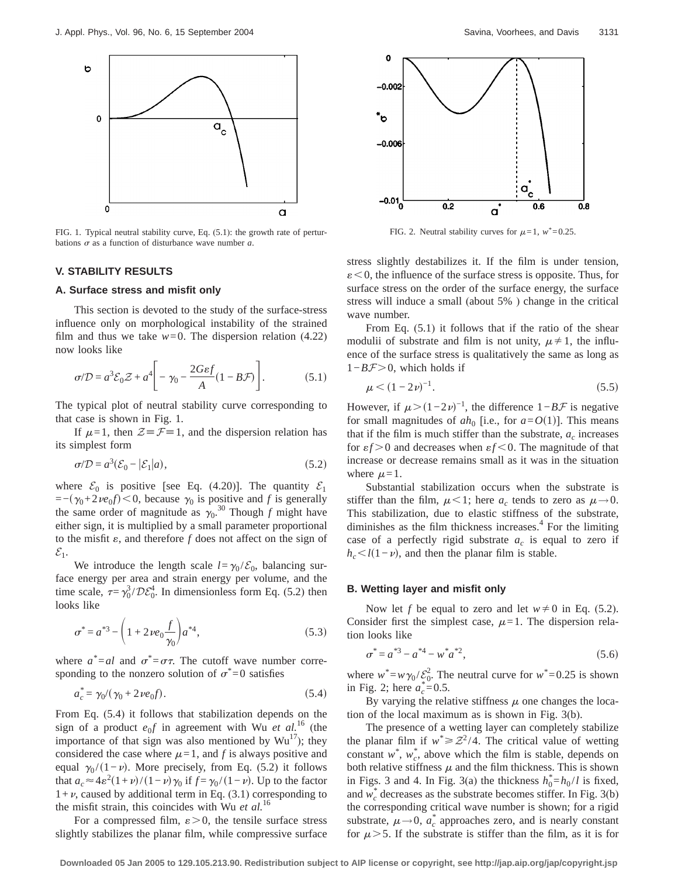

FIG. 1. Typical neutral stability curve, Eq. (5.1): the growth rate of perturbations  $\sigma$  as a function of disturbance wave number  $a$ .

## **V. STABILITY RESULTS**

## **A. Surface stress and misfit only**

This section is devoted to the study of the surface-stress influence only on morphological instability of the strained film and thus we take  $w=0$ . The dispersion relation (4.22) now looks like

$$
\sigma/\mathcal{D} = a^3 \mathcal{E}_0 \mathcal{Z} + a^4 \Bigg[ -\gamma_0 - \frac{2G\epsilon f}{A} (1 - B\mathcal{F}) \Bigg]. \tag{5.1}
$$

The typical plot of neutral stability curve corresponding to that case is shown in Fig. 1.

If  $\mu=1$ , then  $\mathcal{Z} \equiv \mathcal{F} \equiv 1$ , and the dispersion relation has its simplest form

$$
\sigma/\mathcal{D} = a^3 (\mathcal{E}_0 - |\mathcal{E}_1|a),\tag{5.2}
$$

where  $\mathcal{E}_0$  is positive [see Eq. (4.20)]. The quantity  $\mathcal{E}_1$  $=-(\gamma_0+2\nu e_0f)$  < 0, because  $\gamma_0$  is positive and *f* is generally the same order of magnitude as  $\gamma_0^{30}$  Though *f* might have either sign, it is multiplied by a small parameter proportional to the misfit  $\varepsilon$ , and therefore  $f$  does not affect on the sign of  $\mathcal{E}_1$ .

We introduce the length scale  $l = \gamma_0 / \mathcal{E}_0$ , balancing surface energy per area and strain energy per volume, and the time scale,  $\tau = \gamma_0^3 / \mathcal{D} \mathcal{E}_0^4$ . In dimensionless form Eq. (5.2) then looks like

$$
\sigma^* = a^{*3} - \left(1 + 2\nu e_0 \frac{f}{\gamma_0}\right) a^{*4},\tag{5.3}
$$

where  $a^* = al$  and  $\sigma^* = \sigma \tau$ . The cutoff wave number corresponding to the nonzero solution of  $\sigma^*$ =0 satisfies

$$
a_c^* = \gamma_0 / (\gamma_0 + 2\nu e_0 f). \tag{5.4}
$$

From Eq. (5.4) it follows that stabilization depends on the sign of a product  $e_0f$  in agreement with Wu *et al.*<sup>16</sup> (the importance of that sign was also mentioned by  $Wu^{17}$ ); they considered the case where  $\mu=1$ , and *f* is always positive and equal  $\gamma_0 / (1 - \nu)$ . More precisely, from Eq. (5.2) it follows that  $a_c \approx 4\varepsilon^2 (1+\nu)/(1-\nu)\gamma_0$  if  $f = \gamma_0/(1-\nu)$ . Up to the factor  $1+\nu$ , caused by additional term in Eq. (3.1) corresponding to the misfit strain, this coincides with Wu *et al.*<sup>16</sup>

For a compressed film,  $\varepsilon > 0$ , the tensile surface stress slightly stabilizes the planar film, while compressive surface



FIG. 2. Neutral stability curves for  $\mu = 1$ ,  $w^* = 0.25$ .

stress slightly destabilizes it. If the film is under tension,  $\varepsilon$  < 0, the influence of the surface stress is opposite. Thus, for surface stress on the order of the surface energy, the surface stress will induce a small (about 5% ) change in the critical wave number.

From Eq. (5.1) it follows that if the ratio of the shear modulii of substrate and film is not unity,  $\mu \neq 1$ , the influence of the surface stress is qualitatively the same as long as 1−*BF*>0, which holds if

$$
\mu < (1 - 2\nu)^{-1}.\tag{5.5}
$$

However, if  $\mu > (1-2\nu)^{-1}$ , the difference  $1-B\mathcal{F}$  is negative for small magnitudes of  $ah_0$  [i.e., for  $a = O(1)$ ]. This means that if the film is much stiffer than the substrate,  $a_c$  increases for  $\epsilon f > 0$  and decreases when  $\epsilon f < 0$ . The magnitude of that increase or decrease remains small as it was in the situation where  $\mu=1$ .

Substantial stabilization occurs when the substrate is stiffer than the film,  $\mu<1$ ; here  $a_c$  tends to zero as  $\mu\rightarrow0$ . This stabilization, due to elastic stiffness of the substrate, diminishes as the film thickness increases. $4$  For the limiting case of a perfectly rigid substrate  $a_c$  is equal to zero if  $h_c \leq l(1-\nu)$ , and then the planar film is stable.

### **B. Wetting layer and misfit only**

Now let *f* be equal to zero and let  $w \neq 0$  in Eq. (5.2). Consider first the simplest case,  $\mu$ =1. The dispersion relation looks like

$$
\sigma^* = a^{*3} - a^{*4} - w^* a^{*2},\tag{5.6}
$$

where  $w^* = w \gamma_0 / \mathcal{E}_0^2$ . The neutral curve for  $w^* = 0.25$  is shown in Fig. 2; here  $a_c^* = 0.5$ .

By varying the relative stiffness  $\mu$  one changes the location of the local maximum as is shown in Fig. 3(b).

The presence of a wetting layer can completely stabilize the planar film if  $w^* \geq Z^2/4$ . The critical value of wetting constant  $w^*$ ,  $w_c^*$ , above which the film is stable, depends on both relative stiffness  $\mu$  and the film thickness. This is shown in Figs. 3 and 4. In Fig. 3(a) the thickness  $h_0^* = h_0 / l$  is fixed, and  $w_c^*$  decreases as the substrate becomes stiffer. In Fig. 3(b) the corresponding critical wave number is shown; for a rigid substrate,  $\mu \rightarrow 0$ ,  $a_c^*$  approaches zero, and is nearly constant for  $\mu$  > 5. If the substrate is stiffer than the film, as it is for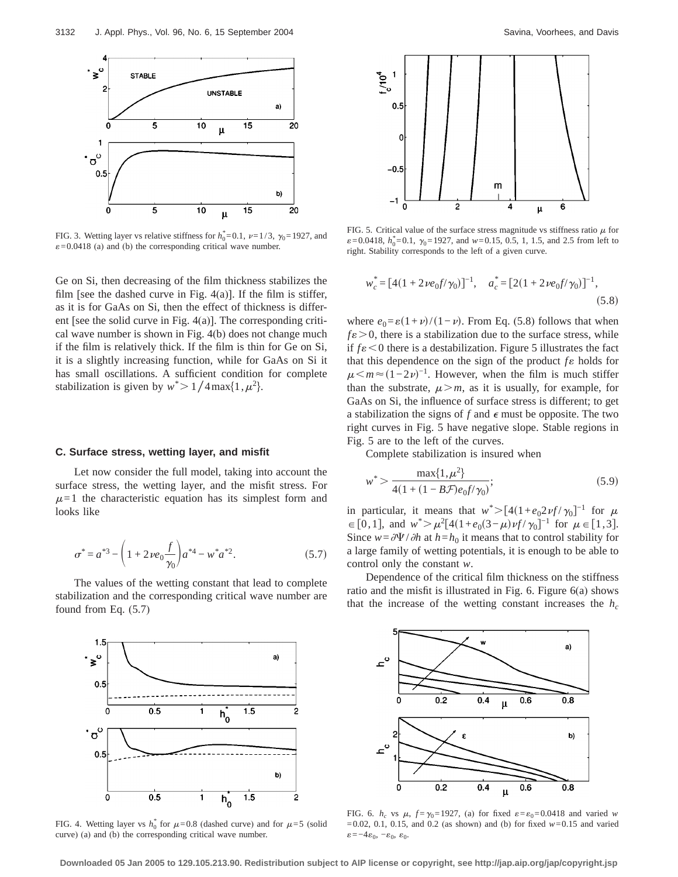

FIG. 3. Wetting layer vs relative stiffness for  $h_0^* = 0.1$ ,  $\nu = 1/3$ ,  $\gamma_0 = 1927$ , and  $\varepsilon$ =0.0418 (a) and (b) the corresponding critical wave number.

Ge on Si, then decreasing of the film thickness stabilizes the film [see the dashed curve in Fig.  $4(a)$ ]. If the film is stiffer, as it is for GaAs on Si, then the effect of thickness is different [see the solid curve in Fig. 4(a)]. The corresponding critical wave number is shown in Fig. 4(b) does not change much if the film is relatively thick. If the film is thin for Ge on Si, it is a slightly increasing function, while for GaAs on Si it has small oscillations. A sufficient condition for complete stabilization is given by  $w^*$  > 1/4 max{1, $\mu^2$ }.

#### **C. Surface stress, wetting layer, and misfit**

Let now consider the full model, taking into account the surface stress, the wetting layer, and the misfit stress. For  $\mu=1$  the characteristic equation has its simplest form and looks like

$$
\sigma^* = a^{*3} - \left(1 + 2\nu e_0 \frac{f}{\gamma_0}\right) a^{*4} - w^* a^{*2}.
$$
 (5.7)

The values of the wetting constant that lead to complete stabilization and the corresponding critical wave number are found from Eq. (5.7)



FIG. 4. Wetting layer vs  $h_0^*$  for  $\mu$ =0.8 (dashed curve) and for  $\mu$ =5 (solid curve) (a) and (b) the corresponding critical wave number.



FIG. 5. Critical value of the surface stress magnitude vs stiffness ratio  $\mu$  for  $\varepsilon$ =0.0418,  $h_0^*$ =0.1,  $\gamma_0$ =1927, and *w*=0.15, 0.5, 1, 1.5, and 2.5 from left to right. Stability corresponds to the left of a given curve.

$$
w_c^* = [4(1 + 2\nu e_0 f/\gamma_0)]^{-1}, \quad a_c^* = [2(1 + 2\nu e_0 f/\gamma_0)]^{-1},
$$
\n(5.8)

where  $e_0 = \varepsilon (1 + \nu)/(1 - \nu)$ . From Eq. (5.8) follows that when  $f\epsilon > 0$ , there is a stabilization due to the surface stress, while if  $f \varepsilon < 0$  there is a destabilization. Figure 5 illustrates the fact that this dependence on the sign of the product  $f \varepsilon$  holds for  $\mu < m \approx (1-2\nu)^{-1}$ . However, when the film is much stiffer than the substrate,  $\mu > m$ , as it is usually, for example, for GaAs on Si, the influence of surface stress is different; to get a stabilization the signs of  $f$  and  $\epsilon$  must be opposite. The two right curves in Fig. 5 have negative slope. Stable regions in Fig. 5 are to the left of the curves.

Complete stabilization is insured when

$$
w^* > \frac{\max\{1, \mu^2\}}{4(1 + (1 - B\mathcal{F})e_0 f/\gamma_0)};
$$
\n(5.9)

in particular, it means that  $w^*$ >[4(1+*e*<sub>0</sub>2*vf* / $\gamma_0$ ]<sup>-1</sup> for  $\mu$  $\in [0,1]$ , and  $w^* > \mu^2 [4(1+e_0(3-\mu)v f/\gamma_0]^{-1}$  for  $\mu \in [1,3]$ . Since  $w = \partial \Psi / \partial h$  at  $h = h_0$  it means that to control stability for a large family of wetting potentials, it is enough to be able to control only the constant *w*.

Dependence of the critical film thickness on the stiffness ratio and the misfit is illustrated in Fig. 6. Figure 6(a) shows that the increase of the wetting constant increases the  $h_c$ 



FIG. 6.  $h_c$  vs  $\mu$ ,  $f = \gamma_0 = 1927$ , (a) for fixed  $\varepsilon = \varepsilon_0 = 0.0418$  and varied *w*  $=0.02, 0.1, 0.15,$  and 0.2 (as shown) and (b) for fixed  $w=0.15$  and varied  $\varepsilon\!=\!-4\varepsilon_0,\,-\varepsilon_0,\;\varepsilon_0.$